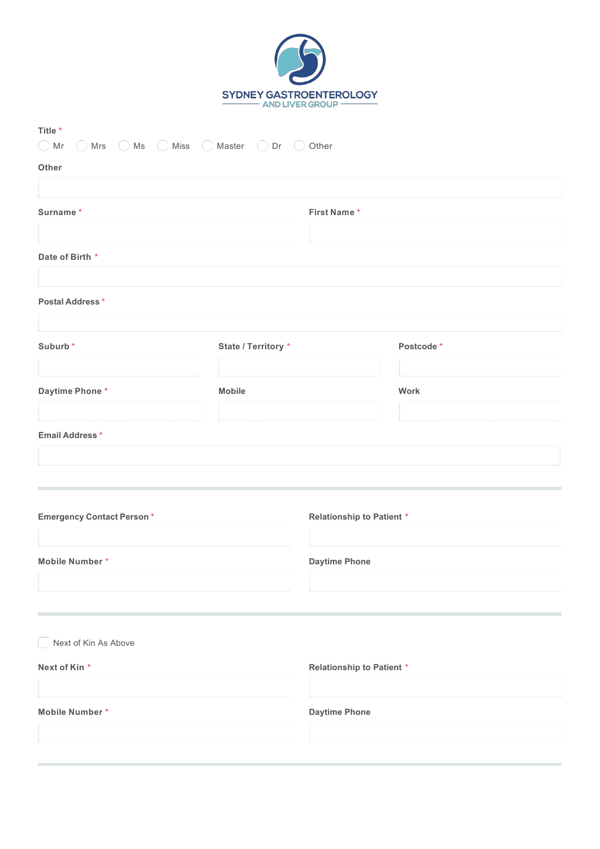

| Title *<br>$\bigcirc$ Mr $\bigcirc$ Mrs $\bigcirc$ Ms $\bigcirc$ Miss $\bigcirc$ Master $\bigcirc$ Dr $\bigcirc$ Other |                     |                                  |           |  |
|------------------------------------------------------------------------------------------------------------------------|---------------------|----------------------------------|-----------|--|
| Other                                                                                                                  |                     |                                  |           |  |
| Surname*                                                                                                               |                     | First Name*                      |           |  |
| Date of Birth *                                                                                                        |                     |                                  |           |  |
| Postal Address*                                                                                                        |                     |                                  |           |  |
| Suburb*                                                                                                                | State / Territory * |                                  | Postcode* |  |
| Daytime Phone*                                                                                                         | <b>Mobile</b>       |                                  | Work      |  |
| <b>Email Address*</b>                                                                                                  |                     |                                  |           |  |
| <b>Emergency Contact Person*</b>                                                                                       |                     | <b>Relationship to Patient *</b> |           |  |
| Mobile Number*                                                                                                         |                     | <b>Daytime Phone</b>             |           |  |
| Next of Kin As Above                                                                                                   |                     |                                  |           |  |
| Next of Kin*                                                                                                           |                     | <b>Relationship to Patient *</b> |           |  |
| Mobile Number*                                                                                                         |                     | <b>Daytime Phone</b>             |           |  |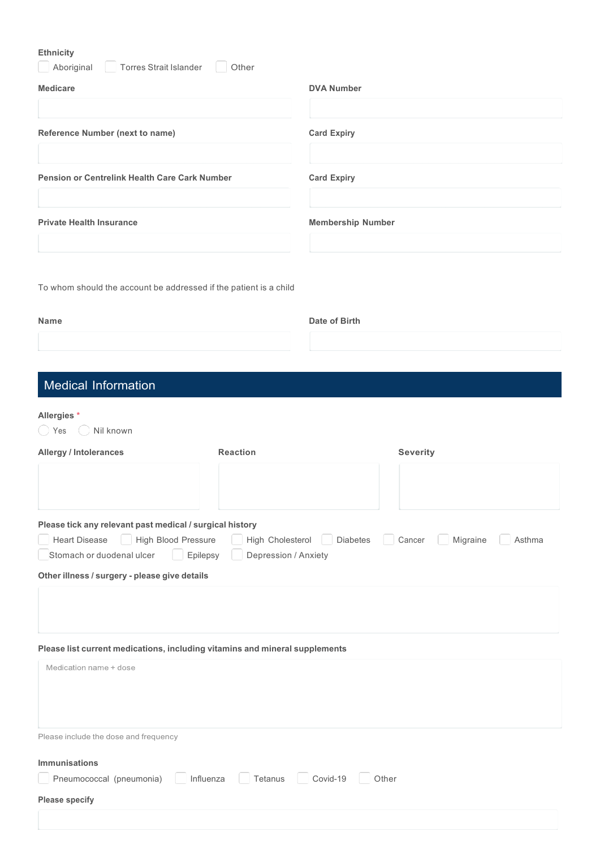| Ethnicity<br>Aboriginal<br>Torres Strait Islander                                                              | Other            |                          |                              |  |
|----------------------------------------------------------------------------------------------------------------|------------------|--------------------------|------------------------------|--|
| <b>Medicare</b>                                                                                                |                  | <b>DVA Number</b>        |                              |  |
|                                                                                                                |                  |                          |                              |  |
| Reference Number (next to name)                                                                                |                  | <b>Card Expiry</b>       |                              |  |
| <b>Pension or Centrelink Health Care Cark Number</b>                                                           |                  | <b>Card Expiry</b>       |                              |  |
| <b>Private Health Insurance</b>                                                                                |                  | <b>Membership Number</b> |                              |  |
| To whom should the account be addressed if the patient is a child<br><b>Name</b>                               |                  | Date of Birth            |                              |  |
| Medical Information                                                                                            |                  |                          |                              |  |
| Allergies *<br>Nil known<br>$\rightarrow$<br>Yes                                                               |                  |                          |                              |  |
| <b>Allergy / Intolerances</b>                                                                                  | <b>Reaction</b>  |                          | <b>Severity</b>              |  |
| Please tick any relevant past medical / surgical history<br><b>Heart Disease</b><br><b>High Blood Pressure</b> | High Cholesterol | <b>Diabetes</b>          | Cancer<br>Migraine<br>Asthma |  |

| <b>Heart Disease</b><br>High Blood Pressure |  |
|---------------------------------------------|--|
|---------------------------------------------|--|

| Stomach or duodenal ulcer | Epilepsy | Depression / Anxiety |
|---------------------------|----------|----------------------|
|                           |          |                      |

**Other illness / surgery - please give details**

| Please list current medications, including vitamins and mineral supplements |  |  |  |
|-----------------------------------------------------------------------------|--|--|--|
|                                                                             |  |  |  |

| Medication name + dose                                                                          |
|-------------------------------------------------------------------------------------------------|
|                                                                                                 |
|                                                                                                 |
| Please include the dose and frequency                                                           |
| <b>Immunisations</b>                                                                            |
| $\Box$ Pneumococcal (pneumonia) $\Box$ Influenza $\Box$ Tetanus $\Box$ Covid-19 $\Box$<br>Other |
| <b>Please specify</b>                                                                           |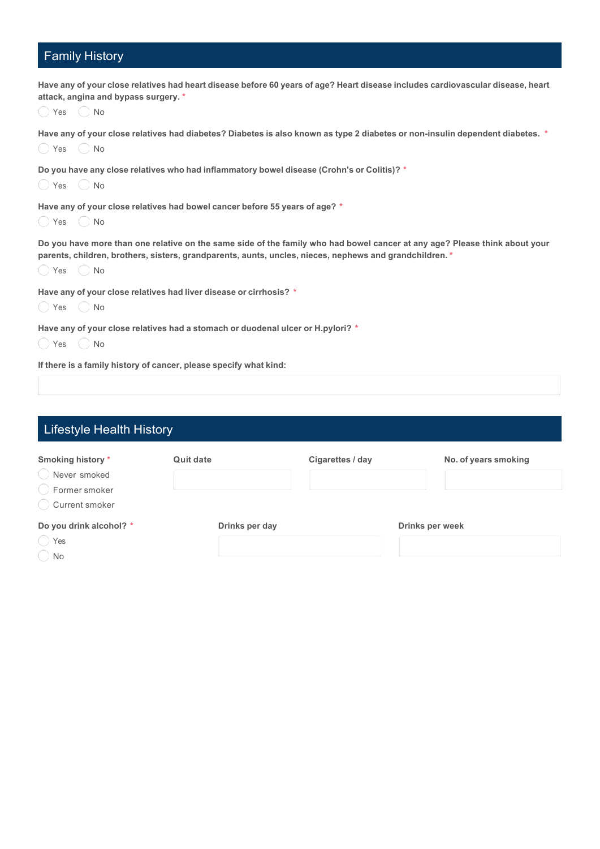## Family History

| Have any of your close relatives had heart disease before 60 years of age? Heart disease includes cardiovascular disease, heart<br>attack, angina and bypass surgery. *                                                                                               |
|-----------------------------------------------------------------------------------------------------------------------------------------------------------------------------------------------------------------------------------------------------------------------|
| () Yes () No                                                                                                                                                                                                                                                          |
| Have any of your close relatives had diabetes? Diabetes is also known as type 2 diabetes or non-insulin dependent diabetes. *<br>() Yes () No                                                                                                                         |
| Do you have any close relatives who had inflammatory bowel disease (Crohn's or Colitis)? *<br>() Yes () No                                                                                                                                                            |
| Have any of your close relatives had bowel cancer before 55 years of age? *<br>$\bigcirc$ Yes $\bigcirc$ No                                                                                                                                                           |
| Do you have more than one relative on the same side of the family who had bowel cancer at any age? Please think about your<br>parents, children, brothers, sisters, grandparents, aunts, uncles, nieces, nephews and grandchildren. *<br>$\bigcirc$ Yes $\bigcirc$ No |
| Have any of your close relatives had liver disease or cirrhosis? *<br>$\bigcirc$ Yes $\bigcirc$ No                                                                                                                                                                    |
| Have any of your close relatives had a stomach or duodenal ulcer or H.pylori? *<br>$\bigcirc$ Yes $\bigcirc$ No                                                                                                                                                       |
| If there is a family history of cancer, please specify what kind:                                                                                                                                                                                                     |

| <b>Lifestyle Health History</b>                                      |                  |                  |                        |
|----------------------------------------------------------------------|------------------|------------------|------------------------|
| Smoking history *<br>Never smoked<br>Former smoker<br>Current smoker | <b>Quit date</b> | Cigarettes / day | No. of years smoking   |
| Do you drink alcohol? *<br>Yes<br>No                                 | Drinks per day   |                  | <b>Drinks per week</b> |